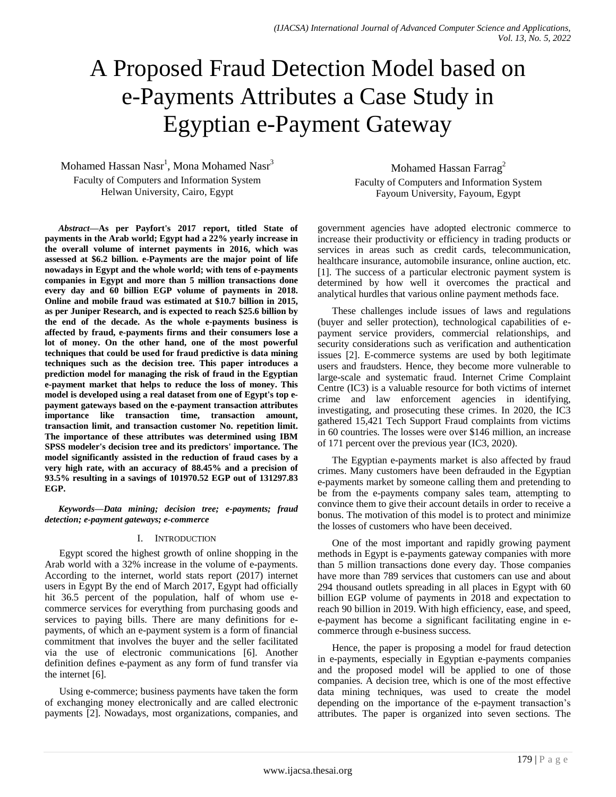# A Proposed Fraud Detection Model based on e-Payments Attributes a Case Study in Egyptian e-Payment Gateway

Mohamed Hassan Nasr $^1$ , Mona Mohamed Nasr $^3$ Faculty of Computers and Information System Helwan University, Cairo, Egypt

Mohamed Hassan Farrag<sup>2</sup> Faculty of Computers and Information System Fayoum University, Fayoum, Egypt

*Abstract***—As per Payfort's 2017 report, titled State of payments in the Arab world; Egypt had a 22% yearly increase in the overall volume of internet payments in 2016, which was assessed at \$6.2 billion. e-Payments are the major point of life nowadays in Egypt and the whole world; with tens of e-payments companies in Egypt and more than 5 million transactions done every day and 60 billion EGP volume of payments in 2018. Online and mobile fraud was estimated at \$10.7 billion in 2015, as per Juniper Research, and is expected to reach \$25.6 billion by the end of the decade. As the whole e-payments business is affected by fraud, e-payments firms and their consumers lose a lot of money. On the other hand, one of the most powerful techniques that could be used for fraud predictive is data mining techniques such as the decision tree. This paper introduces a prediction model for managing the risk of fraud in the Egyptian e-payment market that helps to reduce the loss of money. This model is developed using a real dataset from one of Egypt's top epayment gateways based on the e-payment transaction attributes importance like transaction time, transaction amount, transaction limit, and transaction customer No. repetition limit. The importance of these attributes was determined using IBM SPSS modeler's decision tree and its predictors' importance. The model significantly assisted in the reduction of fraud cases by a very high rate, with an accuracy of 88.45% and a precision of 93.5% resulting in a savings of 101970.52 EGP out of 131297.83 EGP.**

*Keywords—Data mining; decision tree; e-payments; fraud detection; e-payment gateways; e-commerce*

# I. INTRODUCTION

Egypt scored the highest growth of online shopping in the Arab world with a 32% increase in the volume of e-payments. According to the internet, world stats report (2017) internet users in Egypt By the end of March 2017, Egypt had officially hit 36.5 percent of the population, half of whom use ecommerce services for everything from purchasing goods and services to paying bills. There are many definitions for epayments, of which an e-payment system is a form of financial commitment that involves the buyer and the seller facilitated via the use of electronic communications [6]. Another definition defines e-payment as any form of fund transfer via the internet [6].

Using e-commerce; business payments have taken the form of exchanging money electronically and are called electronic payments [2]. Nowadays, most organizations, companies, and government agencies have adopted electronic commerce to increase their productivity or efficiency in trading products or services in areas such as credit cards, telecommunication, healthcare insurance, automobile insurance, online auction, etc. [1]. The success of a particular electronic payment system is determined by how well it overcomes the practical and analytical hurdles that various online payment methods face.

These challenges include issues of laws and regulations (buyer and seller protection), technological capabilities of epayment service providers, commercial relationships, and security considerations such as verification and authentication issues [2]. E-commerce systems are used by both legitimate users and fraudsters. Hence, they become more vulnerable to large-scale and systematic fraud. Internet Crime Complaint Centre (IC3) is a valuable resource for both victims of internet crime and law enforcement agencies in identifying, investigating, and prosecuting these crimes. In 2020, the IC3 gathered 15,421 Tech Support Fraud complaints from victims in 60 countries. The losses were over \$146 million, an increase of 171 percent over the previous year (IC3, 2020).

The Egyptian e-payments market is also affected by fraud crimes. Many customers have been defrauded in the Egyptian e-payments market by someone calling them and pretending to be from the e-payments company sales team, attempting to convince them to give their account details in order to receive a bonus. The motivation of this model is to protect and minimize the losses of customers who have been deceived.

One of the most important and rapidly growing payment methods in Egypt is e-payments gateway companies with more than 5 million transactions done every day. Those companies have more than 789 services that customers can use and about 294 thousand outlets spreading in all places in Egypt with 60 billion EGP volume of payments in 2018 and expectation to reach 90 billion in 2019. With high efficiency, ease, and speed, e-payment has become a significant facilitating engine in ecommerce through e-business success.

Hence, the paper is proposing a model for fraud detection in e-payments, especially in Egyptian e-payments companies and the proposed model will be applied to one of those companies. A decision tree, which is one of the most effective data mining techniques, was used to create the model depending on the importance of the e-payment transaction's attributes. The paper is organized into seven sections. The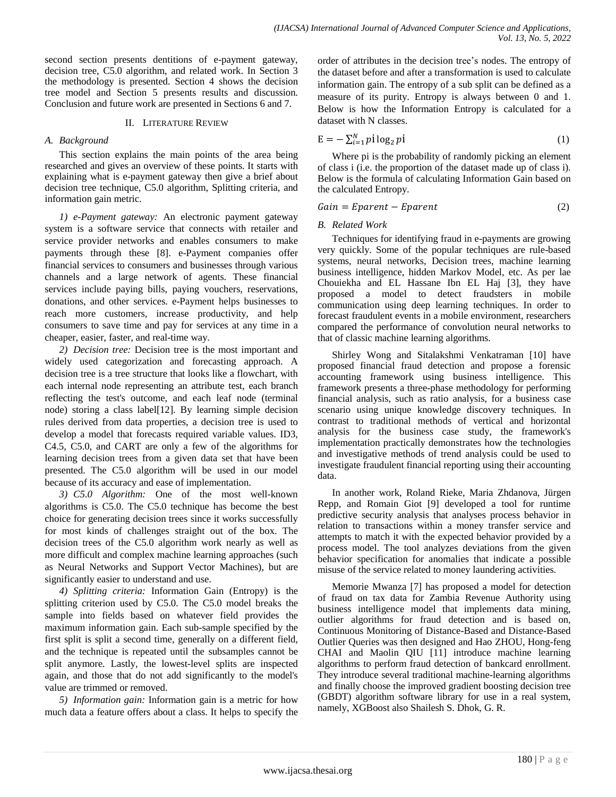second section presents dentitions of e-payment gateway, decision tree, C5.0 algorithm, and related work. In Section 3 the methodology is presented. Section 4 shows the decision tree model and Section 5 presents results and discussion. Conclusion and future work are presented in Sections 6 and 7.

# II. LITERATURE REVIEW

# *A. Background*

This section explains the main points of the area being researched and gives an overview of these points. It starts with explaining what is e-payment gateway then give a brief about decision tree technique, C5.0 algorithm, Splitting criteria, and information gain metric.

*1) e-Payment gateway:* An electronic payment gateway system is a software service that connects with retailer and service provider networks and enables consumers to make payments through these [8]. e-Payment companies offer financial services to consumers and businesses through various channels and a large network of agents. These financial services include paying bills, paying vouchers, reservations, donations, and other services. e-Payment helps businesses to reach more customers, increase productivity, and help consumers to save time and pay for services at any time in a cheaper, easier, faster, and real-time way.

*2) Decision tree:* Decision tree is the most important and widely used categorization and forecasting approach. A decision tree is a tree structure that looks like a flowchart, with each internal node representing an attribute test, each branch reflecting the test's outcome, and each leaf node (terminal node) storing a class label[12]. By learning simple decision rules derived from data properties, a decision tree is used to develop a model that forecasts required variable values. ID3, C4.5, C5.0, and CART are only a few of the algorithms for learning decision trees from a given data set that have been presented. The C5.0 algorithm will be used in our model because of its accuracy and ease of implementation.

*3) C5.0 Algorithm:* One of the most well-known algorithms is C5.0. The C5.0 technique has become the best choice for generating decision trees since it works successfully for most kinds of challenges straight out of the box. The decision trees of the C5.0 algorithm work nearly as well as more difficult and complex machine learning approaches (such as Neural Networks and Support Vector Machines), but are significantly easier to understand and use.

*4) Splitting criteria:* Information Gain (Entropy) is the splitting criterion used by C5.0. The C5.0 model breaks the sample into fields based on whatever field provides the maximum information gain. Each sub-sample specified by the first split is split a second time, generally on a different field, and the technique is repeated until the subsamples cannot be split anymore. Lastly, the lowest-level splits are inspected again, and those that do not add significantly to the model's value are trimmed or removed.

*5) Information gain:* Information gain is a metric for how much data a feature offers about a class. It helps to specify the order of attributes in the decision tree's nodes. The entropy of the dataset before and after a transformation is used to calculate information gain. The entropy of a sub split can be defined as a measure of its purity. Entropy is always between 0 and 1. Below is how the Information Entropy is calculated for a dataset with N classes.

$$
E = -\sum_{i=1}^{N} p i \log_2 p i \tag{1}
$$

Where pi is the probability of randomly picking an element of class i (i.e. the proportion of the dataset made up of class i). Below is the formula of calculating Information Gain based on the calculated Entropy.

$$
Gain = Eparent - Eparent \tag{2}
$$

# *B. Related Work*

Techniques for identifying fraud in e-payments are growing very quickly. Some of the popular techniques are rule-based systems, neural networks, Decision trees, machine learning business intelligence, hidden Markov Model, etc. As per lae Chouiekha and EL Hassane Ibn EL Haj [3], they have proposed a model to detect fraudsters in mobile communication using deep learning techniques. In order to forecast fraudulent events in a mobile environment, researchers compared the performance of convolution neural networks to that of classic machine learning algorithms.

Shirley Wong and Sitalakshmi Venkatraman [10] have proposed financial fraud detection and propose a forensic accounting framework using business intelligence. This framework presents a three-phase methodology for performing financial analysis, such as ratio analysis, for a business case scenario using unique knowledge discovery techniques. In contrast to traditional methods of vertical and horizontal analysis for the business case study, the framework's implementation practically demonstrates how the technologies and investigative methods of trend analysis could be used to investigate fraudulent financial reporting using their accounting data.

In another work, Roland Rieke, Maria Zhdanova, Jürgen Repp, and Romain Giot [9] developed a tool for runtime predictive security analysis that analyses process behavior in relation to transactions within a money transfer service and attempts to match it with the expected behavior provided by a process model. The tool analyzes deviations from the given behavior specification for anomalies that indicate a possible misuse of the service related to money laundering activities.

Memorie Mwanza [7] has proposed a model for detection of fraud on tax data for Zambia Revenue Authority using business intelligence model that implements data mining, outlier algorithms for fraud detection and is based on, Continuous Monitoring of Distance-Based and Distance-Based Outlier Queries was then designed and Hao ZHOU, Hong-feng CHAI and Maolin QIU [11] introduce machine learning algorithms to perform fraud detection of bankcard enrollment. They introduce several traditional machine-learning algorithms and finally choose the improved gradient boosting decision tree (GBDT) algorithm software library for use in a real system, namely, XGBoost also Shailesh S. Dhok, G. R.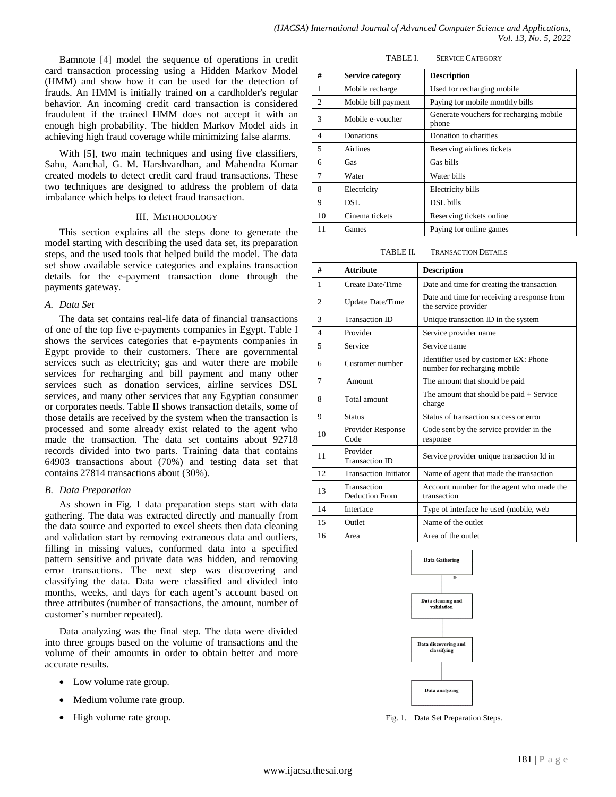Bamnote [4] model the sequence of operations in credit card transaction processing using a Hidden Markov Model (HMM) and show how it can be used for the detection of frauds. An HMM is initially trained on a cardholder's regular behavior. An incoming credit card transaction is considered fraudulent if the trained HMM does not accept it with an enough high probability. The hidden Markov Model aids in achieving high fraud coverage while minimizing false alarms.

With [5], two main techniques and using five classifiers, Sahu, Aanchal, G. M. Harshvardhan, and Mahendra Kumar created models to detect credit card fraud transactions. These two techniques are designed to address the problem of data imbalance which helps to detect fraud transaction.

#### III. METHODOLOGY

This section explains all the steps done to generate the model starting with describing the used data set, its preparation steps, and the used tools that helped build the model. The data set show available service categories and explains transaction details for the e-payment transaction done through the payments gateway.

### *A. Data Set*

The data set contains real-life data of financial transactions of one of the top five e-payments companies in Egypt. Table I shows the services categories that e-payments companies in Egypt provide to their customers. There are governmental services such as electricity; gas and water there are mobile services for recharging and bill payment and many other services such as donation services, airline services DSL services, and many other services that any Egyptian consumer or corporates needs. Table II shows transaction details, some of those details are received by the system when the transaction is processed and some already exist related to the agent who made the transaction. The data set contains about 92718 records divided into two parts. Training data that contains 64903 transactions about (70%) and testing data set that contains 27814 transactions about (30%).

### *B. Data Preparation*

As shown in Fig. 1 data preparation steps start with data gathering. The data was extracted directly and manually from the data source and exported to excel sheets then data cleaning and validation start by removing extraneous data and outliers, filling in missing values, conformed data into a specified pattern sensitive and private data was hidden, and removing error transactions. The next step was discovering and classifying the data. Data were classified and divided into months, weeks, and days for each agent's account based on three attributes (number of transactions, the amount, number of customer's number repeated).

Data analyzing was the final step. The data were divided into three groups based on the volume of transactions and the volume of their amounts in order to obtain better and more accurate results.

- Low volume rate group.
- Medium volume rate group.
- High volume rate group.

TABLE I. SERVICE CATEGORY

| #                        | <b>Service category</b> | <b>Description</b>                               |
|--------------------------|-------------------------|--------------------------------------------------|
| 1                        | Mobile recharge         | Used for recharging mobile                       |
| $\overline{c}$           | Mobile bill payment     | Paying for mobile monthly bills                  |
| 3                        | Mobile e-voucher        | Generate vouchers for recharging mobile<br>phone |
| $\overline{\mathcal{A}}$ | Donations               | Donation to charities                            |
| 5                        | Airlines                | Reserving airlines tickets                       |
| 6                        | Gas                     | Gas bills                                        |
| $\tau$                   | Water                   | Water bills                                      |
| 8                        | Electricity             | Electricity bills                                |
| 9                        | DSL.                    | DSL bills                                        |
| 10                       | Cinema tickets          | Reserving tickets online                         |
| 11                       | Games                   | Paying for online games                          |

TABLE II. TRANSACTION DETAILS

| #              | <b>Attribute</b>                  | <b>Description</b>                                                    |  |
|----------------|-----------------------------------|-----------------------------------------------------------------------|--|
| 1              | Create Date/Time                  | Date and time for creating the transaction                            |  |
| 2              | Update Date/Time                  | Date and time for receiving a response from<br>the service provider   |  |
| $\mathcal{R}$  | <b>Transaction ID</b>             | Unique transaction ID in the system                                   |  |
| $\overline{4}$ | Provider                          | Service provider name                                                 |  |
| 5              | Service                           | Service name                                                          |  |
| 6              | Customer number                   | Identifier used by customer EX: Phone<br>number for recharging mobile |  |
| $\tau$         | Amount                            | The amount that should be paid                                        |  |
| 8              | Total amount                      | The amount that should be paid $+$ Service<br>charge                  |  |
| 9              | <b>Status</b>                     | Status of transaction success or error                                |  |
| 10             | Provider Response<br>Code         | Code sent by the service provider in the<br>response                  |  |
| 11             | Provider<br><b>Transaction ID</b> | Service provider unique transaction Id in                             |  |
| 12             | <b>Transaction Initiator</b>      | Name of agent that made the transaction                               |  |
| 13             | Transaction<br>Deduction From     | Account number for the agent who made the<br>transaction              |  |
| 14             | Interface                         | Type of interface he used (mobile, web                                |  |
| 15             | Outlet                            | Name of the outlet                                                    |  |
| 16             | Area                              | Area of the outlet                                                    |  |



Fig. 1. Data Set Preparation Steps.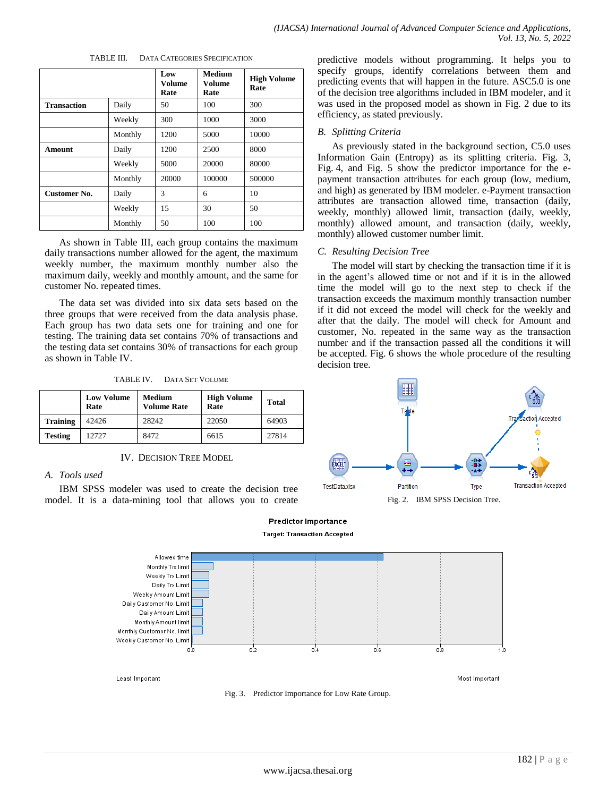| TABLE III. |  |  | <b>DATA CATEGORIES SPECIFICATION</b> |
|------------|--|--|--------------------------------------|
|------------|--|--|--------------------------------------|

|                    |         | Low<br>Volume<br>Rate | Medium<br>Volume<br>Rate | <b>High Volume</b><br>Rate |
|--------------------|---------|-----------------------|--------------------------|----------------------------|
| <b>Transaction</b> | Daily   | 50                    | 100                      | 300                        |
|                    | Weekly  | 300                   | 1000                     | 3000                       |
|                    | Monthly | 1200                  | 5000                     | 10000                      |
| Amount             | Daily   | 1200                  | 2500                     | 8000                       |
|                    | Weekly  | 5000                  | 20000                    | 80000                      |
|                    | Monthly | 20000                 | 100000                   | 500000                     |
| Customer No.       | Daily   | 3                     | 6                        | 10                         |
|                    | Weekly  | 15                    | 30                       | 50                         |
|                    | Monthly | 50                    | 100                      | 100                        |

As shown in Table III, each group contains the maximum daily transactions number allowed for the agent, the maximum weekly number, the maximum monthly number also the maximum daily, weekly and monthly amount, and the same for customer No. repeated times.

The data set was divided into six data sets based on the three groups that were received from the data analysis phase. Each group has two data sets one for training and one for testing. The training data set contains 70% of transactions and the testing data set contains 30% of transactions for each group as shown in Table IV.

TABLE IV. DATA SET VOLUME

|                 | <b>Low Volume</b><br>Rate | Medium<br><b>Volume Rate</b> | <b>High Volume</b><br>Rate | <b>Total</b> |
|-----------------|---------------------------|------------------------------|----------------------------|--------------|
| <b>Training</b> | 42426                     | 28242                        | 22050                      | 64903        |
| <b>Testing</b>  | 12727                     | 8472                         | 6615                       | 27814        |

IV. DECISION TREE MODEL

# *A. Tools used*

IBM SPSS modeler was used to create the decision tree model. It is a data-mining tool that allows you to create predictive models without programming. It helps you to specify groups, identify correlations between them and predicting events that will happen in the future. ASC5.0 is one of the decision tree algorithms included in IBM modeler, and it was used in the proposed model as shown in Fig. 2 due to its efficiency, as stated previously.

## *B. Splitting Criteria*

As previously stated in the background section, C5.0 uses Information Gain (Entropy) as its splitting criteria. Fig. 3, Fig. 4, and Fig. 5 show the predictor importance for the epayment transaction attributes for each group (low, medium, and high) as generated by IBM modeler. e-Payment transaction attributes are transaction allowed time, transaction (daily, weekly, monthly) allowed limit, transaction (daily, weekly, monthly) allowed amount, and transaction (daily, weekly, monthly) allowed customer number limit.

### *C. Resulting Decision Tree*

The model will start by checking the transaction time if it is in the agent's allowed time or not and if it is in the allowed time the model will go to the next step to check if the transaction exceeds the maximum monthly transaction number if it did not exceed the model will check for the weekly and after that the daily. The model will check for Amount and customer, No. repeated in the same way as the transaction number and if the transaction passed all the conditions it will be accepted. Fig. 6 shows the whole procedure of the resulting decision tree.





Predictor Importance

Fig. 3. Predictor Importance for Low Rate Group.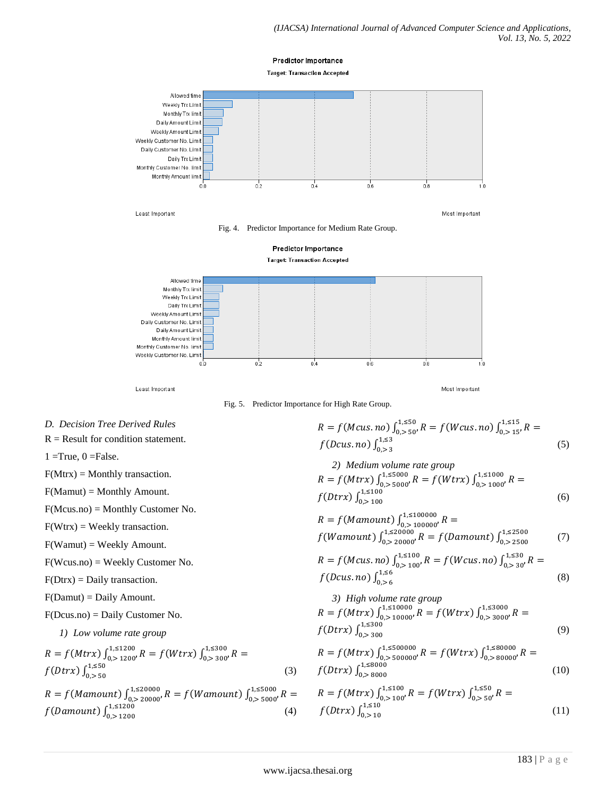



Least Important

Most Important

Fig. 5. Predictor Importance for High Rate Group.

*D. Decision Tree Derived Rules*

 $R =$  Result for condition statement.

 $1 = True, 0 = False.$ 

 $F(Mtrx) =$  Monthly transaction.

F(Mamut) = Monthly Amount.

F(Mcus.no) = Monthly Customer No.

 $F(Wtrx) = Weekly transaction.$ 

F(Wamut) = Weekly Amount.

F(Wcus.no) = Weekly Customer No.

 $F(Dtrx) = Daily transaction.$ 

F(Damut) = Daily Amount.

F(Dcus.no) = Daily Customer No.

*1) Low volume rate group*

$$
R = f(Mtrx) \int_{0, > 1200}^{1, \le 1200} R = f(Wtrx) \int_{0, > 300}^{1, \le 300} R = f(Dtrx) \int_{0, > 50}^{1, \le 50} \tag{3}
$$

$$
R = f(Mamount) \int_{0.}^{1.520000} R = f(Wamount) \int_{0.52000}^{1.5000} R = f(Damount) \int_{0.5200}^{1.5000} R = f(Damount) \int_{0.5200}^{1.5200} \tag{4}
$$

$$
R = f(Mcus, no) \int_{0, > 50}^{1, \le 50} R = f(Wcus, no) \int_{0, > 15'}^{1, \le 15} R = f(Dcus, no) \int_{0, > 3}^{1, \le 3} (5)
$$

2) Medium volume rate group  
\n
$$
R = f(Mtx) \int_{0.5}^{1.5000} R = f(Wtx) \int_{0.51000}^{1.51000} R = f(Dtx) \int_{0.5100}^{1.5100} (6)
$$

$$
R = f(Mamount) \int_{0.}^{1.5100000} R = f(Wamount) \int_{0.520000}^{1.520000} R = f(Damount) \int_{0.52500}^{1.52500} \tag{7}
$$

$$
R = f(Mcus, no) \int_{0.}^{1, \le 100} R = f(Wcus, no) \int_{0.}^{1, \le 30} R = f(Dcus, no) \int_{0.}^{1, \le 6} (8)
$$

3) High volume rate group  
\n
$$
R = f(Mtrx) \int_{0. > 10000}^{1. < 10000} R = f(Wtrx) \int_{0. > 3000}^{1. < 3000} R = f(Dtrx) \int_{0. > 300}^{1. < 300} \tag{9}
$$

$$
R = f(Mtrx) \int_{0.}^{1.500000} J_{0.00000}^{1.500000} R = f(Wtrx) \int_{0.00000}^{1.50000} R = f(Dtrx) \int_{0.0000}^{1.50000} f(Dtrx) \int_{0.0000}^{1.50000} \tag{10}
$$

$$
R = f(Mtrx) \int_{0, > 100}^{1, \le 100} R = f(Wtrx) \int_{0, > 50}^{1, \le 50} R =
$$
  

$$
f(Dtrx) \int_{0, > 10}^{1, \le 10} (11)
$$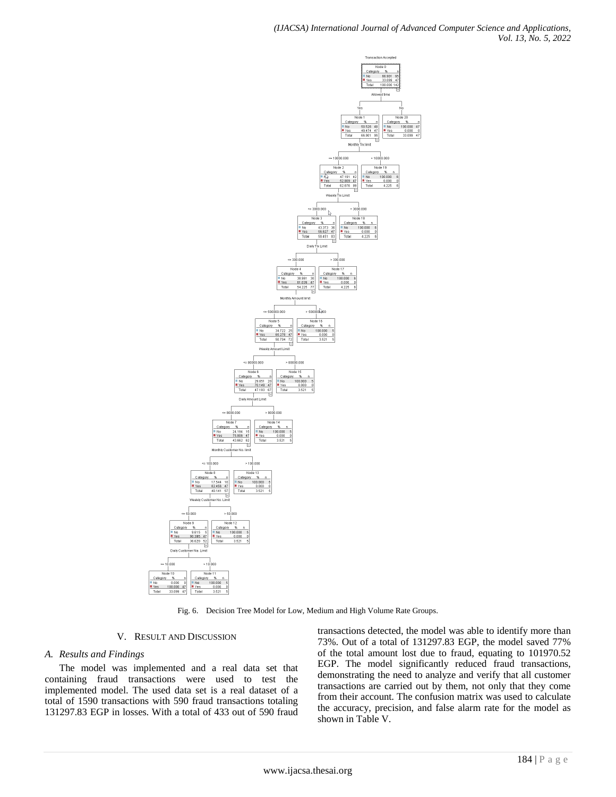

Fig. 6. Decision Tree Model for Low, Medium and High Volume Rate Groups.

# V. RESULT AND DISCUSSION

# *A. Results and Findings*

The model was implemented and a real data set that containing fraud transactions were used to test the implemented model. The used data set is a real dataset of a total of 1590 transactions with 590 fraud transactions totaling 131297.83 EGP in losses. With a total of 433 out of 590 fraud transactions detected, the model was able to identify more than 73%. Out of a total of 131297.83 EGP, the model saved 77% of the total amount lost due to fraud, equating to 101970.52 EGP. The model significantly reduced fraud transactions, demonstrating the need to analyze and verify that all customer transactions are carried out by them, not only that they come from their account. The confusion matrix was used to calculate the accuracy, precision, and false alarm rate for the model as shown in Table V.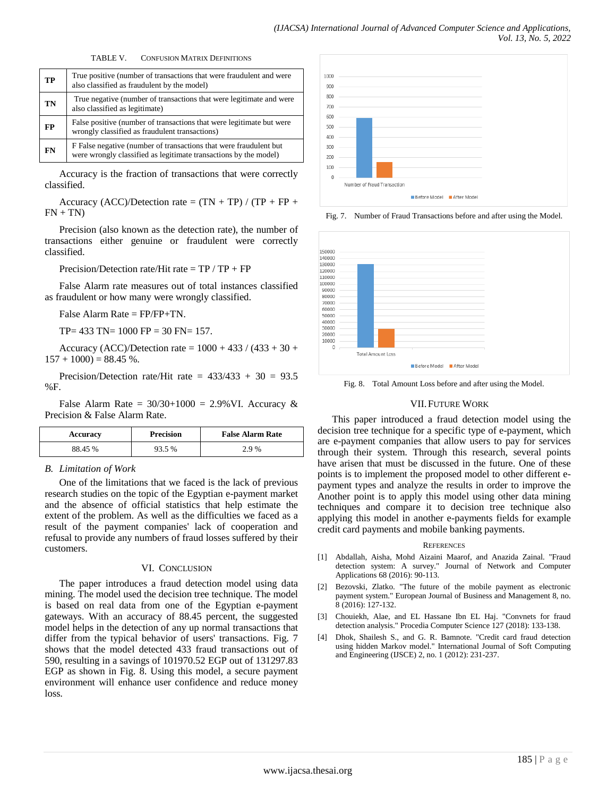TABLE V. CONFUSION MATRIX DEFINITIONS

| TP        | True positive (number of transactions that were fraudulent and were<br>also classified as fraudulent by the model)                     |  |
|-----------|----------------------------------------------------------------------------------------------------------------------------------------|--|
| TN        | True negative (number of transactions that were legitimate and were<br>also classified as legitimate)                                  |  |
| <b>FP</b> | False positive (number of transactions that were legitimate but were<br>wrongly classified as fraudulent transactions)                 |  |
| FN        | F False negative (number of transactions that were fraudulent but)<br>were wrongly classified as legitimate transactions by the model) |  |

Accuracy is the fraction of transactions that were correctly classified.

Accuracy (ACC)/Detection rate =  $(TN + TP) / (TP + FP +$  $FN + TN$ 

Precision (also known as the detection rate), the number of transactions either genuine or fraudulent were correctly classified.

Precision/Detection rate/Hit rate  $= TP / TP + FP$ 

False Alarm rate measures out of total instances classified as fraudulent or how many were wrongly classified.

False Alarm Rate = FP/FP+TN.

TP= 433 TN= 1000 FP = 30 FN= 157.

Accuracy (ACC)/Detection rate =  $1000 + 433 / (433 + 30 +$  $157 + 1000$  = 88.45 %.

Precision/Detection rate/Hit rate =  $433/433 + 30 = 93.5$ %F.

False Alarm Rate =  $30/30+1000 = 2.9%$  VI. Accuracy & Precision & False Alarm Rate.

| Accuracy | <b>Precision</b> | <b>False Alarm Rate</b> |
|----------|------------------|-------------------------|
| 88.45 %  | 93.5 %           | 2.9 %                   |

### *B. Limitation of Work*

One of the limitations that we faced is the lack of previous research studies on the topic of the Egyptian e-payment market and the absence of official statistics that help estimate the extent of the problem. As well as the difficulties we faced as a result of the payment companies' lack of cooperation and refusal to provide any numbers of fraud losses suffered by their customers.

#### VI. CONCLUSION

The paper introduces a fraud detection model using data mining. The model used the decision tree technique. The model is based on real data from one of the Egyptian e-payment gateways. With an accuracy of 88.45 percent, the suggested model helps in the detection of any up normal transactions that differ from the typical behavior of users' transactions. Fig. 7 shows that the model detected 433 fraud transactions out of 590, resulting in a savings of 101970.52 EGP out of 131297.83 EGP as shown in Fig. 8. Using this model, a secure payment environment will enhance user confidence and reduce money loss.



Fig. 7. Number of Fraud Transactions before and after using the Model.



Fig. 8. Total Amount Loss before and after using the Model.

## VII.FUTURE WORK

This paper introduced a fraud detection model using the decision tree technique for a specific type of e-payment, which are e-payment companies that allow users to pay for services through their system. Through this research, several points have arisen that must be discussed in the future. One of these points is to implement the proposed model to other different epayment types and analyze the results in order to improve the Another point is to apply this model using other data mining techniques and compare it to decision tree technique also applying this model in another e-payments fields for example credit card payments and mobile banking payments.

#### **REFERENCES**

- [1] Abdallah, Aisha, Mohd Aizaini Maarof, and Anazida Zainal. "Fraud detection system: A survey." Journal of Network and Computer Applications 68 (2016): 90-113.
- [2] Bezovski, Zlatko. "The future of the mobile payment as electronic payment system." European Journal of Business and Management 8, no. 8 (2016): 127-132.
- [3] Chouiekh, Alae, and EL Hassane Ibn EL Haj. "Convnets for fraud detection analysis." Procedia Computer Science 127 (2018): 133-138.
- [4] Dhok, Shailesh S., and G. R. Bamnote. "Credit card fraud detection using hidden Markov model." International Journal of Soft Computing and Engineering (IJSCE) 2, no. 1 (2012): 231-237.